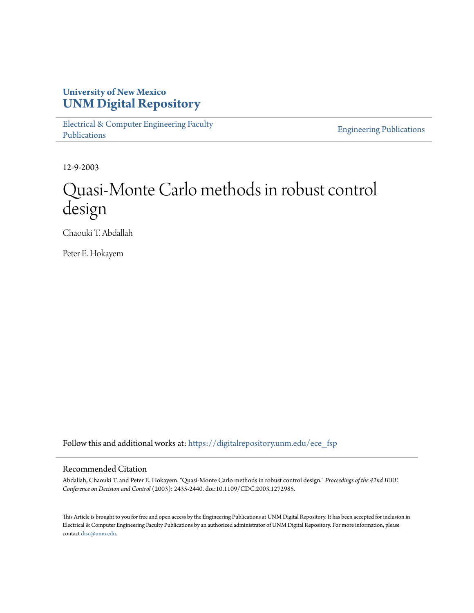# **University of New Mexico [UNM Digital Repository](https://digitalrepository.unm.edu?utm_source=digitalrepository.unm.edu%2Fece_fsp%2F214&utm_medium=PDF&utm_campaign=PDFCoverPages)**

[Electrical & Computer Engineering Faculty](https://digitalrepository.unm.edu/ece_fsp?utm_source=digitalrepository.unm.edu%2Fece_fsp%2F214&utm_medium=PDF&utm_campaign=PDFCoverPages) [Publications](https://digitalrepository.unm.edu/ece_fsp?utm_source=digitalrepository.unm.edu%2Fece_fsp%2F214&utm_medium=PDF&utm_campaign=PDFCoverPages)

[Engineering Publications](https://digitalrepository.unm.edu/eng_fsp?utm_source=digitalrepository.unm.edu%2Fece_fsp%2F214&utm_medium=PDF&utm_campaign=PDFCoverPages)

12-9-2003

# Quasi-Monte Carlo methods in robust control design

Chaouki T. Abdallah

Peter E. Hokayem

Follow this and additional works at: [https://digitalrepository.unm.edu/ece\\_fsp](https://digitalrepository.unm.edu/ece_fsp?utm_source=digitalrepository.unm.edu%2Fece_fsp%2F214&utm_medium=PDF&utm_campaign=PDFCoverPages)

# Recommended Citation

Abdallah, Chaouki T. and Peter E. Hokayem. "Quasi-Monte Carlo methods in robust control design." *Proceedings of the 42nd IEEE Conference on Decision and Control* (2003): 2435-2440. doi:10.1109/CDC.2003.1272985.

This Article is brought to you for free and open access by the Engineering Publications at UNM Digital Repository. It has been accepted for inclusion in Electrical & Computer Engineering Faculty Publications by an authorized administrator of UNM Digital Repository. For more information, please contact [disc@unm.edu.](mailto:disc@unm.edu)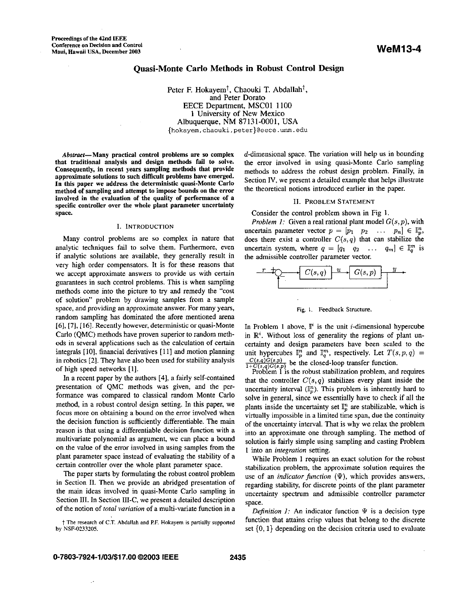# **Quasi-Monte Carlo Methods in Robust Control Design**

Peter F. Hokayem<sup>†</sup>, Chaouki T. Abdallah<sup>†</sup>, and Peter Dorato EECE Department, **MSCOl** 1100 1 University of New Mexico Albuquerque, NM 87131-0001, USA **[{hokayem,chaouki,peter}@eece.unm.edu](mailto:hokayem,chaouki,peter}@eece.unm.edu)** 

Abstract-Many practical control problems are *so* complex that traditional analysis and design methods fail **to** solve. Consequently, in recent years sampling methods that provide approximate solutions to such difficult problems have emerged. In this paper we address the deterministic quasi-Monte Carlo method of sampling and attempt to impose bounds on the error involved in the evaluation of the quality of performance of a specific controller over the whole plant parameter uncertainty space.

#### **I. INTRODUCTION**

Many control problems are so complex in nature that analytic techniques fail to solve them. Furthermore. even if analytic solutions are available, they generally result in very high order compensators. It is for these reasons that we accept approximate answers to provide us with certain guarantees in such control problems. This is when sampling methods come into the picture to try and remedy the "cost of solution" problem by drawing samples from a sample space, and providing an approximate answer. For many years, random sampling has dominated the afore mentioned arena [6], [7], [16]. Recently however, deterministic or quasi-Monte Carlo (QMC) metbods have proven superior to random methods in several applications such **as** the calculation of certain integrals [IO], financial derivatives [Ill and motion planning in robotics [2]. They have also been used for stability analysis of high speed networks [l].

In a recent paper by the authors [4], a fairly self-contained presentation of QMC methods was given, and the performance was compared to classical random Monte Carlo method, in a robust control design setting. In this paper, we focus more on obtaining a bound on the error involved when the decision function is sufficiently differentiable. The main reason is that using a differentiable decision function with a multivariate polynomial as argument, we can place a bound on the value of the error involved in using samples from the plant parameter space instead of evaluating the stability of a certain controller over the whole plant parameter space.

The paper starts by formulating the robust control problem in Section **11.** Then we provide an abridged presentation of the main ideas involved in quasi-Monte Carlo sampling in Section **111.** In Section III-C, we present a detailed description of the notion of *total variation* of a multi-variate function in a

t **The research of C.T. Abdallah and P.F. Hokayem is partially suppaned by NSF-0233205.** 

 $d$ -dimensional space. The variation will help us in bounding the error involved in using quasi-Monte Carlo sampling methods to address the robust design problem. Finally, in Section IV, we present a detailed example that helps illustrate the theoretical notions introduced earlier in the paper.

#### **11.** PROBLEM **STATEMENT**

Consider the control problem shown in Fig **1.** 

*Problem 1:* Given a real rational plant model  $G(s, p)$ , with uncertain parameter vector  $p = [p_1 \quad p_2 \quad \dots \quad p_n] \in \mathbb{I}_n^n$ , does there exist a controller  $C(s, q)$  that can stabilize the uncertain system, where  $q = [q_1 \ q_2 \ \ldots \ q_m] \in \mathbb{I}_q^m$  is the admissible controller parameter vector.



**Ftg.** i. Feedback Structure.

In Problem 1 above,  $\mathbb{I}^i$  is the unit *i*-dimensional hypercube in  $\mathbb{R}^i$ . Without loss of generality the regions of plant uncertainty and design parameters have been scaled to the unit hypercubes  $\mathbb{I}_p^n$  and  $\mathbb{I}_q^m$ , respectively. Let  $T(s, p, q)$  =  $\frac{C(s,q)G(s,p)}{1+C(s,q)G(s,p)}$  be the closed-loop transfer function.

Problem 1 is the robust stabilization problem, and requires that the controller  $C(s, q)$  stabilizes every plant inside the uncertainty interval  $(\mathbb{I}_p^n)$ . This problem is inherently hard to solve in general, since we essentially have to check if all the plants inside the uncertainty set  $\mathbb{I}_n^n$  are stabilizable, which is virtually impossible in a limited time span, due the continuity of the uncertainty interval. That is why we relax the problem into an approximate one through sampling. The method of solution is fairly simple using sampling and casting Problem 1 into an *integration* setting.

While Problem 1 requires an exact solution for the robust stabilization problem, the approximate solution requires the use of an *indicator function*  $(\Psi)$ , which provides answers, regarding stability, for discrete points of the plant parameter uncertainty spectrum and admissible controller parameter space.

*Definition 1:* An indicator function  $\Psi$  is a decision type function that attains crisp values that belong to the discrete set  $\{0,1\}$  depending on the decision criteria used to evaluate

 $\mathcal{L}$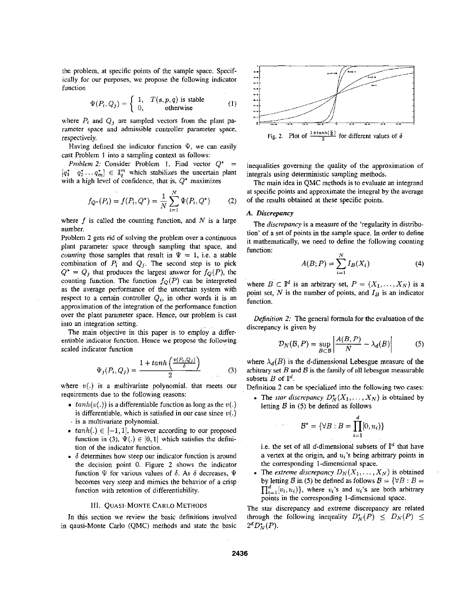the problem, at specific points of the sample space. Specifically for our purposes, we propose the following indicator function

$$
\Psi(P_i, Q_j) = \begin{cases} 1, & T(s, p, q) \text{ is stable} \\ 0, & \text{otherwise} \end{cases}
$$
 (1)

where  $P_i$  and  $Q_j$  are sampled vectors from the plant parameter space and admissible controller parameter space, respectively.

Having defined the indicator function  $\Psi$ , we can easily cast Problem 1 into a sampling context **as** follows:

*Problem 2:* Consider Problem 1. Find vector  $Q^*$  =  $[q_1^* \quad q_2^* \ldots q_m^*] \in \mathbb{I}_q^m$  which stabilizes the uncertain plant with a high level of confidence, that is, *Q\** maximizes

$$
f_{Q^*}(P_i) = f(P_i, Q^*) = \frac{1}{N} \sum_{i=1}^{N} \Psi(P_i, Q^*)
$$
 (2)

where  $f$  is called the counting function, and  $N$  is a large number.

Problem **2** gets rid of solving the problem over a continuous plant parameter space through sampling that space, and counting those samples that result in  $\Psi = 1$ , i.e. a stable combination of  $P_i$  and  $Q_j$ . The second step is to pick  $Q^* = Q_i$  that produces the largest answer for  $f_Q(P)$ , the counting function. The function  $f_Q(P)$  can be interpreted as the average performance of the uncertain system with respect to a certain controller  $Q_i$ , in other words it is an approximation of the integration of the performance function over the plant parameter space. Hence, our problem is cast into an integration setting.

The main objective in this paper is to empioy a differentiable indicator function. Hence we propose the following<br>
scaled indicator function<br>  $\Psi(P, Q_i) = \frac{1 + \tanh\left(\frac{v(P_i, Q_i)}{\delta}\right)}{q}$  (3) scaled indicator function

$$
\Psi_j(P_i, Q_j) = \frac{1 + \tanh\left(\frac{\nu(P_i, Q_j)}{\delta}\right)}{2} \tag{3}
$$

where  $v(.)$  is a multivariate polynomial. that meets our requirements due to the following reasons:

- $tanh(v(.))$  is a differentiable function as long as the  $v(.)$ is differentiable, which is satisfied in our case since  $v(.)$ . is a multivariate polynomial.
- $tanh(.) \in [-1,1]$ , however according to our proposed function in (3),  $\Psi(.) \in [0,1]$  which satisfies the definition of the indicator function.
- $\bullet$   $\delta$  determines how steep our indicator function is around the decision point 0. Figure **2** shows the indicator function  $\Psi$  for various values of  $\delta$ . As  $\delta$  decreases,  $\Psi$ becomes very steep and mimics the behavior of a crisp function with retention of differentiability.

#### **111.** QUASI-MONTE **CARLO** METHODS

In this section we review the basic definitions involved in qausi-Monte Carlo (QMC) methods and state the basic



Fig. 2. Plot of  $\frac{1+\tanh(\frac{\pi}{6})}{2}$  for different values of  $\delta$ 

inequalities governing the quality of the approximation of integrals using deterministic sampling methods.

The main idea in QMC methods is to evaluate an integrand at specific points and approximate the integral by the average of the results obtained at these specific points.

# *A. Discrepancy*

The *discrepancy* is a measure of the 'regularity in distribution' of a set of points in the sample space. In order to define it mathematically, we need to define the following counting function:

$$
A(B; P) = \sum_{i=1}^{N} I_B(X_i)
$$
 (4)

where  $B \subset \mathbb{I}^d$  is an arbitrary set,  $P = (X_1, \ldots, X_N)$  is a point set,  $N$  is the number of points, and  $I_B$  is an indicator function.

Definition 2: The general formula for the evaluation of the discrepancy is given by

$$
\mathcal{D}_N(\mathcal{B}, P) = \sup_{B \subset \mathcal{B}} \left| \frac{A(B, P)}{N} - \lambda_d(B) \right| \tag{5}
$$

where  $\lambda_d(B)$  is the d-dimensional Lebesgue measure of the arbitrary set *B* and *8* is the family of all lebesgue measurable subsets  $B$  of  $\mathbb{I}^d$ .

Definition **2** can be specialized into the following two cases:

• The *star discrepancy*  $D_N^{\star}(X_1, \ldots, X_N)$  is obtained by letting *B* in (5) be defined **as** follows

$$
\mathcal{B}^{\star} = \{ \forall B : B = \prod_{i=1}^{d} [0, u_i) \}
$$

- i.e. the set of all *d*-dimensional subsets of  $\mathbb{I}^d$  that have a vertex at the origin, and  $u_i$ 's being arbitrary points in the corresponding 1-dimensional space.
- The *extreme discrepancy*  $D_N(X_1, \ldots, X_N)$  is obtained by letting *B* in (5) be defined as follows  $B = \{ \forall B : B =$  $\prod_{i=1}^{d} [v_i, u_i)$ , where  $v_i$ 's and  $u_i$ 's are both arbitrary points in the corresponding 1-dimensional space.

The star discrepancy and extreme discrepancy are related through the following inequality  $D_N^*(P) \leq D_N(P) \leq$  $2^d D_N^*(P)$ .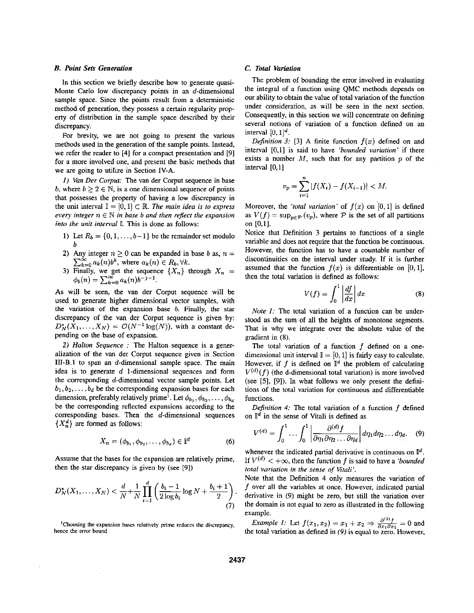# *B. Point Sets Generntion*

In this section we briefly describe how to generate quasi-Monte Carlo low discrepancy points in an d-dimensional sample space. Since the points result from a deterministic method of generation, they possess a certain regularity property of distribution in the sample space described by their discrepancy.

**For** brevity, we are not going to present the various methods used in the generation of the sample points. Instead, we refer the reader to [4] for a compact presentation and [9] **for** a more involved one, and present the basic methods that we are going to utilize in Section IV-A.

*I) Van Der Corpur:* The van der Corput sequence in base *b*, where  $b \ge 2 \in \mathbb{N}$ , is a one dimensional sequence of points that possesses the property of having **a** low discrepancy in the unit interval  $I = [0,1] \subset \mathbb{R}$ . The main idea is to express *every integer*  $n \in \mathbb{N}$  *in base b and then reflect the expansion into the unit interval*  $\mathbb{I}$ . This is done as follows:

- 1) Let  $R_b = \{0, 1, \ldots, b-1\}$  be the remainder set modulo *b*
- **2)** Any integer  $n \ge 0$  can be expanded in base *b* as,  $n =$  $\sum_{k=0}^{\infty} a_k(n) b^k$ , where  $a_k(n) \in R_b, \forall k$ .
- 3) Finally, we get the sequence  $\{X_n\}$  through  $X_n =$  $\phi_b(n) = \sum_{k=0}^{\infty} a_k(n) b^{-j-1}.$

As will be seen, the van der Corput sequence will be used to generate higher dimensional vector samples, with the variation of the expansion base *b.* Finally, the star discrepancy of the van der Corput sequence is given by:  $D_N^*(X_1,\ldots,X_N) = \mathcal{O}(N^{-1}\log(N))$ , with a constant depending on the base of expansion.

**2)** *Halfon Sequence* : The Halton sequence is a generalization of the van der Corput sequence given in Section **111-B.1** to span an d-dimensional sample space. The main idea is to generate  $d$  1-dimensional sequences and form the Corresponding d-dimensional vector sample points. **Let**   $b_1, b_2, \ldots, b_d$  be the corresponding expansion bases for each dimension, preferably relatively prime<sup>1</sup>. Let  $\phi_{b_1}, \phi_{b_2}, \dots, \phi_{b_d}$ be the corresponding reflected expansions according to the corresponding bases. Then the  $d$ -dimensional sequences  ${X_n^d}$  are formed as follows:

$$
X_n = (\phi_{b_1}, \phi_{b_2}, \dots, \phi_{b_d}) \in \mathbb{I}^d \tag{6}
$$

Assume that the bases for the expansion are relatively prime, then the star discrepancy **is** given by (see **191)** 

$$
D_N^{\star}(X_1, \dots, X_N) < \frac{d}{N} + \frac{1}{N} \prod_{i=1}^d \left( \frac{b_i - 1}{2 \log b_i} \log N + \frac{b_i + 1}{2} \right) \tag{7}
$$

**'Choosing the expansion bases relatively prime reduces the discrepancy, hence the** eror **bound** 

# *C. Total Variation*

The problem of bounding the error involved in evaluating the integral of **a** function using QMC methods depends on our ability to obtain the value of total variation of the function under consideration, **as** will be seen in the next section. Consequently, in this section we will concentrate on defining several notions of variation of **a** function defined on an interval  $[0, 1]^d$ .

*Definition 3*: [3] A finite function  $f(x)$  defined on and interval **[O,l]** is said to have *'bounded variation'* if there exists **a** number *Af,* such that for any partition *p* of the interval **[0,1]** 

$$
v_p = \sum_{i=1}^n |f(X_i) - f(X_{i-1})| < M.
$$

Moreover, the *'total variation'* of  $f(x)$  on  $[0, 1]$  is defined as  $V(f) = \sup_{p \in \mathcal{P}} (v_p)$ , where  $\mathcal P$  is the set of all partitions on **[0,1].** 

Notice that Definition **3** pertains to functions of a single variable and does not require that the function be continuous. However, the function has to have a countable number of discontinuities on the interval under study. If it is further assumed that the function  $f(x)$  is differentiable on  $[0,1]$ , then the total variation is defined **as** follows:

$$
V(f) = \int_0^1 \left| \frac{df}{dx} \right| dx \tag{8}
$$

*Note 1:* The total variation of a function can be understood **as** the sum of all the heights of monotone segments. That is why we integrate over the absolute value of the gradient in **(8).** 

The total variation of a function f defined on **a** onedimensional unit interval  $\mathbb{I} = [0,1]$  is fairly easy to calculate. However, if f is defined on  $\mathbb{I}^d$  the problem of calculating  $V^{(d)}(f)$  (the d-dimensional total variation) is more involved. (see **[5], [9]).** In what follows we only present the definitions of the total variation for continuous and differentiable functions.

*Definition 4:* The total variation of a function *f* defined on  $\mathbb{I}^d$  in the sense of Vitali is defined as

$$
V^{(d)} = \int_0^1 \cdots \int_0^1 \left| \frac{\partial^{(d)} f}{\partial \eta_1 \partial \eta_2 \cdots \partial \eta_d} \right| d\eta_1 d\eta_2 \cdots d\eta_d. \quad (9)
$$

whenever the indicated partial derivative is continuous on  $\mathbb{I}^d$ . If  $V^{(d)} < +\infty$ , then the function *f* is said to have a *'bounded total variation in the sense of Ktali'.* 

Note that the Definition **4** only measures the variation of f over **all** the variables at once. However, indicated partial derivative in **(9)** might be zero, but still the variation over the domain is not equal to zero **as** illustrated in the following example. derivative in (9) might be zero, but still the variation over<br>the domain is not equal to zero as illustrated in the following<br>example.<br>*Example 1:* Let  $f(x_1, x_2) = x_1 + x_2 \Rightarrow \frac{\partial^{(2)}f}{\partial x_1 \partial x_2} = 0$  and<br>the total variation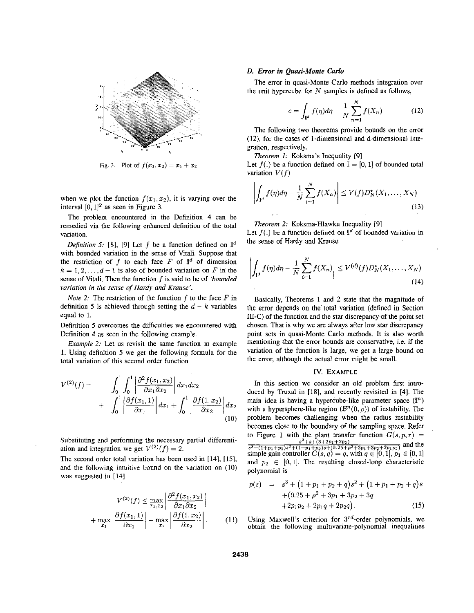

**Fig. 3.** Plot of  $f(x_1, x_2) = x_1 + x_2$ 

when we plot the function  $f(x_1, x_2)$ , it is varying over the interval  $[0, 1]^2$  as seen in Figure 3.

The problem encountered in the Definition **4** can he remedied via the following enhanced definition of the total variation.

*Definition 5:* [8], [9] Let *f* be a function defined on  $\mathbb{I}^d$ with bounded variation in the sense of Vitali. Suppose that the restriction of  $f$  to each face  $F$  of  $\mathbb{I}^d$  of dimension  $k = 1, 2, \ldots, d - 1$  is also of bounded variation on *F* in the sense of Vitali. Then the function f **is** said to be of *'bounded variation in the seiie of Hardy and Krause'.* 

*Note 2:* The restriction of the function *f* to the face *F* in definition 5 is achieved through setting the  $d - k$  variables equal to *1.* 

Definition *5* overcomes the difficulties we encountered with Definition **4 as** seen in the following example.

*Example 2:* Let us revisit the same function in example 1. Using definition 5 we get the following formula for the total variation of this second order function

$$
V^{(2)}(f) = \int_0^1 \int_0^1 \left| \frac{\partial^2 f(x_1, x_2)}{\partial x_1 \partial x_2} \right| dx_1 dx_2 + \int_0^1 \left| \frac{\partial f(x_1, 1)}{\partial x_1} \right| dx_1 + \int_0^1 \left| \frac{\partial f(1, x_2)}{\partial x_2} \right| dx_2
$$
(10)

Substituting and performing the necessary partial differentiation and integration we get  $V^{(2)}(f) = 2$ .

The second order total variation has been used in [14], [15], and the following intuitive hound on the variation on (IO) was suggested in [14]

$$
V^{(2)}(f) \le \max_{x_1, x_2} \left| \frac{\partial^2 f(x_1, x_2)}{\partial x_1 \partial x_2} \right|
$$
  
+ 
$$
\max_{x_1} \left| \frac{\partial f(x_1, 1)}{\partial x_1} \right| + \max_{x_2} \left| \frac{\partial f(1, x_2)}{\partial x_2} \right|.
$$
 (11)

#### *D. Error in Quasi-Monte Carlo*

the unit hypercube for *N* samples is defined as follows, The error in quasi-Monte Carlo methods integration over

$$
e = \int_{\mathbf{I}^d} f(\eta) d\eta - \frac{1}{N} \sum_{n=1}^N f(X_n)
$$
 (12)

The following two theorems provide bounds on the error **(U),** for the cases of I-dimensional and d-dimensional integration, respectively.

*Theorem I:* Koksma's Inequality [9]

Let  $f(.)$  be a function defined on  $\mathbb{I} = [0, 1]$  of bounded total variation  $V(f)$ 

$$
\left| \int_{\mathbb{T}^d} f(\eta) d\eta - \frac{1}{N} \sum_{i=1}^N f(X_n) \right| \le V(f) D_N^*(X_1, \dots, X_N)
$$
\n(13)

*Theorem* 2: Koksma-Hlawka Inequality [9]

Let  $f(.)$  be a function defined on  $\mathbb{I}^d$  of bounded variation in the sense of Hardy and Krause

$$
\left| \int_{\mathbf{I}^d} f(\eta) d\eta - \frac{1}{N} \sum_{i=1}^N f(X_n) \right| \le V^{(d)}(f) D_N^*(X_1, \dots, X_N)
$$
\n(14)

Basically, Theorems **1** and **2** state that the magnitude of the error depends on the' total variation (defined in Section **111-C)** of the function and the **sfar** discrepancy of the point set chosen. That is why we are always after low star discrepancy point sets in quasi-Monte Carlo methods. It is also worth mentioning that the error bounds are conservative, i.e. if the variation of the function is large, we get a large bound on the error, although the actual error might be small.

#### IV. **EXAMPLE**

In this section we consider an old problem first introduced by Truxal in [18], and recently revisited in [4]. The main idea is having a hypercube-like parameter space  $(\mathbb{I}^n)$ with a hypersphere-like region  $(B<sup>n</sup>(0, \rho))$  of instability. The problem becomes challenging when the radius instability becomes close to the boundary of the sampling space. Refer to Figure 1 with the plant transfer function  $G(s, p, r)$  =  $\frac{s^2+s+(3+2p_1+2p_2)}{s^3+(1+p_1+p_2)s^2+(1+p_1+p_2)s+(0.25+\rho^2+3p_1+3p_2+2p_1p_2)}$  and the simple gain controller  $C(s, q) = q$ , with  $q \in [0, 1], p_1 \in [0, 1]$ and  $p_2 \in [0,1]$ . The resulting closed-loop characteristic polynomial is

$$
p(s) = s3 + (1 + p1 + p2 + q)s2 + (1 + p1 + p2 + q)s + (0.25 + \rho2 + 3p1 + 3p2 + 3q + 2p1p2 + 2p1q + 2p2q).
$$
 (15)

Using Maxwell's criterion for  $3^{rd}$ -order polynomials, we obtain the following multivariate-polynomial inequalities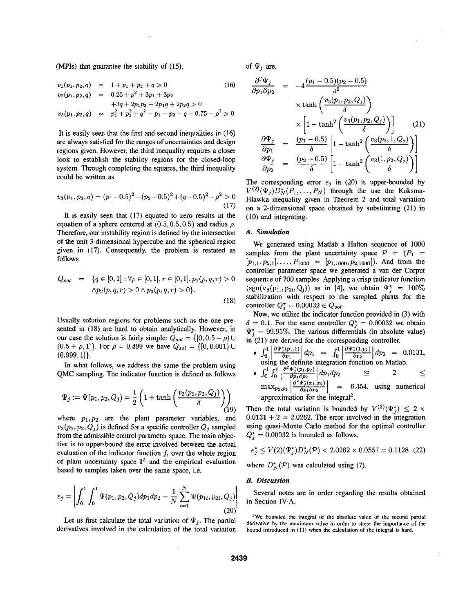(MPIs) that guarantee the stability of (15).

$$
v_1(p_1, p_2, q) = 1 + p_1 + p_2 + q > 0
$$
 (16)  
\n
$$
v_2(p_1, p_2, q) = 0.25 + \rho^2 + 3p_1 + 3p_2
$$
  
\n
$$
+3q + 2p_1p_2 + 2p_1q + 2p_2q > 0
$$
  
\n
$$
v_3(p_1, p_2, q) = p_1^2 + p_2^2 + q^2 - p_1 - p_2 - q + 0.75 - \rho^2 > 0
$$

It is easily seen that the first and second inequalities in (16) are always satisfied for the ranges of uncertainties and design regions given. However, the third inequality requires a closer look to establish the stability regions for the closed-loop system. Through completing the squares, the third inequality could **be** written **as** 

$$
v_3(p_1, p_2, q) = (p_1 - 0.5)^2 + (p_2 - 0.5)^2 + (q - 0.5)^2 - \rho^2 > 0
$$
\n(17)

It is easily seen that (17) equated to zero results in the equation of a sphere centered at  $(0.5, 0.5, 0.5)$  and radius  $\rho$ . Therefore, our instability region is defined by the intersection of the unit 3-dimensional hypercube and the spherical region given in (17). Consequently, the problem is restated as follows

$$
Q_{sol} = \{q \in [0,1]: \forall p \in [0,1], r \in [0,1], p_1(p,q,r) > 0
$$

$$
\land p_2(p,q,r) > 0 \land p_3(p,q,r) > 0\}.
$$
(18)

Usually solution regions for problems such as the one presented in (18) are hard to obtain analytically. However, in our case the solution is fairly simple:  $Q_{sol} = \{ [0, 0.5 - \rho) \cup$  $(0.5 + \rho, 1]$ . For  $\rho = 0.499$  we have  $Q_{sol} = \{ [0, 0.001) \cup ...$  $(0.999, 1]$ .

In what follows, we address the same the problem using QMC sampling. The indicator function is defined as follows

$$
\Psi_j := \Psi(p_1, p_2, Q_j) = \frac{1}{2} \left( 1 + \tanh \left( \frac{v_3(p_1, p_2, Q_j)}{\delta} \right) \right)
$$
(19)

where  $p_1, p_2$  are the plant parameter variables, and  $v_3(p_1, p_2, Q_j)$  is defined for a specific controller  $Q_j$  sampled from the admissible control parameter space. The main objective is to upper-bound the error involved between the actual evaluation of the indicator function  $f_i$  over the whole region of plant uncertainty space  $\mathbb{I}^2$  and the empirical evaluation based to samples taken over the same space, i.e.

$$
e_j = \left| \int_0^1 \int_0^1 \Psi(p_1, p_2, Q_j) dp_1 dp_2 - \frac{1}{N} \sum_{i=1}^N \Psi(p_{1i}, p_{2i}, Q_j) \right| \tag{20}
$$

Let us first calculate the total variation of  $\Psi_j$ . The partial derivatives involved in the calculation of the total variation

of  $\Psi$ , are,

$$
\mathbf{f} \Psi_j \text{ are,}
$$
\n
$$
\frac{\partial^2 \Psi_j}{\partial p_1 \partial p_2} = -4 \frac{(p_1 - 0.5)(p_2 - 0.5)}{\delta^2}
$$
\n
$$
\times \tanh\left(\frac{v_3(p_1, p_2, Q_j)}{\delta}\right)
$$
\n
$$
\times \left[1 - \tanh^2\left(\frac{v_3(p_1, p_2, Q_j)}{\delta}\right)\right] \tag{21}
$$
\n
$$
\frac{\partial \Psi_j}{\partial p_1} = \frac{(p_1 - 0.5)}{\delta} \left[1 - \tanh^2\left(\frac{v_3(p_1, 1, Q_j)}{\delta}\right)\right]
$$
\n
$$
\frac{\partial \Psi_j}{\partial p_2} = \frac{(p_2 - 0.5)}{\delta} \left[1 - \tanh^2\left(\frac{v_3(1, p_2, Q_j)}{\delta}\right)\right]
$$

The corresponding error  $e_j$  in (20) is upper-bounded by  $V^{(2)}(\Psi_i)D_N^{\star}(P_1,\ldots, P_N)$  through the use the Koksma-Hlawka inequality given in Theorem 2 and total variation on a 2-dimensional space obtained by substituting (21) in (IO) and integrating.

#### *A. Simulation*

We generated using Matlab a Halton sequence of 1000 samples from the plant uncertainty space  $P = (P_1 =$  $[p_{1,1}, p_{2,1}], \ldots, P_{1000} = [p_{1,1000}, p_{2,1000}].$  And from the controller parameter space we generated a van der Corput sequence of 700 samples. Applying a crisp indicator function  $(\text{sgn}(v_3(p_{1i}, p_{2i}, Q_i))$  as in [4], we obtain  $\Psi_i^* = 100\%$ stabilization with respect to the sampled plants for the controller  $Q_i^* = 0.00032 \in Q_{sol}$ .

Now, we utilize the indicator function provided in (3) with  $\delta = 0.1$ . For the same controller  $Q_i^* = 0.00032$  we obtain  $\Psi_i^* = 99.95\%$ . The various differentials (in absolute value) in (21) are derived for the corresponding controller.

 $1 | \partial \Psi_j^*(p_1,1) |_{dm} = \int_1^1 | \partial \Psi_j^*(1,p_2) |$  $1 \left[ \partial^2 \Psi_j^*(p_1,p_2) \right]$ ام  $\left[$  $\int_0^1 \left| \frac{\partial \Psi_j^*(p_1,1)}{\partial p_1} \right| dp_1 = \int_0^1 \left| \frac{\partial \Psi_j^*(1,p_2)}{\partial p_2} \right| dp_2 = 0.0131,$ using the definite integration function on Matlab.

• 
$$
\int_0^1 \int_0^1 \left| \frac{\partial^2 \Psi_j^*(p_1, p_2)}{\partial p_1 \partial p_2} \right| dp_1 dp_2 \approx 2 \le
$$
  
\n
$$
\max_{p_1, p_2} \left| \frac{\partial^2 \Psi_j^*(x_1, x_2)}{\partial p_1 \partial p_2} \right| = 6.354
$$
, using numerical approximation for the integral<sup>2</sup>.

Then the total variation is bounded by  $V^{(2)}(\Psi_i^*) \leq 2 \times$  $0.0131 + 2 = 2.0262$ . The error involved in the integration using quasi-Monte Carlo method for the optimal controller  $Q_i^* = 0.00032$  is bounded as follows,

$$
e_j^\star \leq V(2)(\Psi_j^\star) D_N^\star(\mathcal{P}) < 2.0262 \times 0.0557 = 0.1128~~(22)
$$

where  $D_N^{\star}(\mathcal{P})$  was calculated using (7).

# *E. Discussion*

Several notes are in order regarding the results obtained in Section IV-A.

<sup>2</sup>We bounded the integral of the absolute value of the second partial **derivative by the maximum value in order to stress the imporlance of the bound introduced in** (11) **when the calculation of the integral** is **hard.**